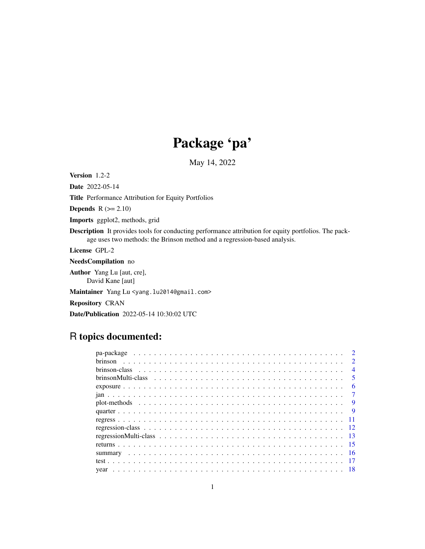# Package 'pa'

May 14, 2022

Version 1.2-2 Date 2022-05-14

Title Performance Attribution for Equity Portfolios

**Depends**  $R$  ( $>= 2.10$ )

Imports ggplot2, methods, grid

Description It provides tools for conducting performance attribution for equity portfolios. The package uses two methods: the Brinson method and a regression-based analysis.

License GPL-2

NeedsCompilation no

Author Yang Lu [aut, cre], David Kane [aut]

Maintainer Yang Lu <yang.lu2014@gmail.com>

Repository CRAN

Date/Publication 2022-05-14 10:30:02 UTC

# R topics documented:

|  |  |  |  |  |  |  |  |  |  |  |  |  |  |  |  |  | $\mathcal{D}$           |
|--|--|--|--|--|--|--|--|--|--|--|--|--|--|--|--|--|-------------------------|
|  |  |  |  |  |  |  |  |  |  |  |  |  |  |  |  |  | $\mathcal{D}$           |
|  |  |  |  |  |  |  |  |  |  |  |  |  |  |  |  |  | $\overline{4}$          |
|  |  |  |  |  |  |  |  |  |  |  |  |  |  |  |  |  | $\overline{\mathbf{5}}$ |
|  |  |  |  |  |  |  |  |  |  |  |  |  |  |  |  |  | 6                       |
|  |  |  |  |  |  |  |  |  |  |  |  |  |  |  |  |  | $\overline{7}$          |
|  |  |  |  |  |  |  |  |  |  |  |  |  |  |  |  |  | Q                       |
|  |  |  |  |  |  |  |  |  |  |  |  |  |  |  |  |  | 9                       |
|  |  |  |  |  |  |  |  |  |  |  |  |  |  |  |  |  |                         |
|  |  |  |  |  |  |  |  |  |  |  |  |  |  |  |  |  |                         |
|  |  |  |  |  |  |  |  |  |  |  |  |  |  |  |  |  |                         |
|  |  |  |  |  |  |  |  |  |  |  |  |  |  |  |  |  |                         |
|  |  |  |  |  |  |  |  |  |  |  |  |  |  |  |  |  |                         |
|  |  |  |  |  |  |  |  |  |  |  |  |  |  |  |  |  |                         |
|  |  |  |  |  |  |  |  |  |  |  |  |  |  |  |  |  |                         |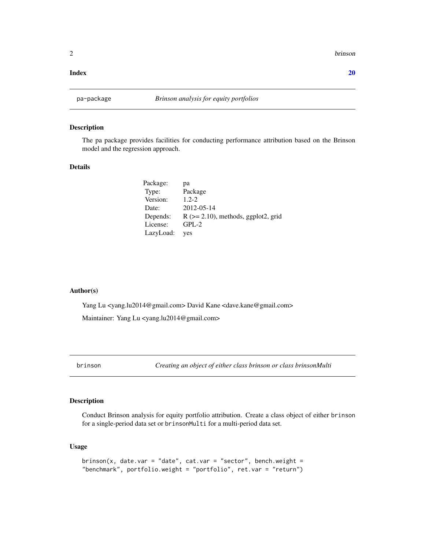<span id="page-1-0"></span>2 brinson brinson brinson brinson brinson brinson brinson brinson brinson brinson brinson brinson brinson brin

#### $\bf 1$ ndex  $\bf 20$  $\bf 20$

# Description

The pa package provides facilities for conducting performance attribution based on the Brinson model and the regression approach.

# Details

| pa                                        |
|-------------------------------------------|
| Package                                   |
| $1.2 - 2.$                                |
| 2012-05-14                                |
| $R$ ( $>= 2.10$ ), methods, ggplot2, grid |
| $GPL-2$                                   |
| ves                                       |
|                                           |

# Author(s)

Yang Lu <yang.lu2014@gmail.com> David Kane <dave.kane@gmail.com> Maintainer: Yang Lu <yang.lu2014@gmail.com>

# Description

Conduct Brinson analysis for equity portfolio attribution. Create a class object of either brinson for a single-period data set or brinsonMulti for a multi-period data set.

#### Usage

```
brinson(x, date.var = "date", cat.var = "sector", bench.weight =
"benchmark", portfolio.weight = "portfolio", ret.var = "return")
```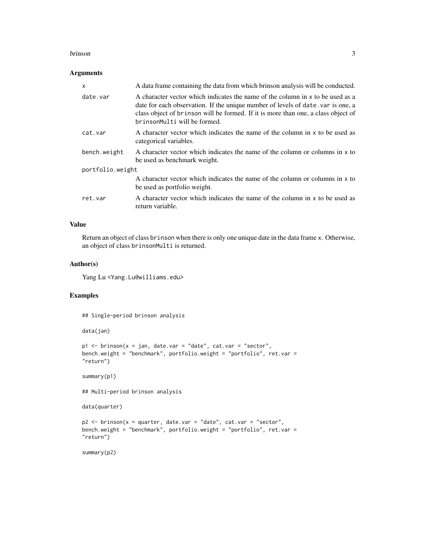#### brinson 3

## Arguments

| $\mathsf{x}$     | A data frame containing the data from which brinson analysis will be conducted.                                                                                                                                                                                                         |
|------------------|-----------------------------------------------------------------------------------------------------------------------------------------------------------------------------------------------------------------------------------------------------------------------------------------|
| date.var         | A character vector which indicates the name of the column in x to be used as a<br>date for each observation. If the unique number of levels of date, var is one, a<br>class object of brinson will be formed. If it is more than one, a class object of<br>brinsonMulti will be formed. |
| cat.var          | A character vector which indicates the name of the column in x to be used as<br>categorical variables.                                                                                                                                                                                  |
| bench.weight     | A character vector which indicates the name of the column or columns in x to<br>be used as benchmark weight.                                                                                                                                                                            |
| portfolio.weight |                                                                                                                                                                                                                                                                                         |
|                  | A character vector which indicates the name of the column or columns in x to<br>be used as portfolio weight.                                                                                                                                                                            |
| ret.var          | A character vector which indicates the name of the column in x to be used as<br>return variable.                                                                                                                                                                                        |

## Value

Return an object of class brinson when there is only one unique date in the data frame x. Otherwise, an object of class brinsonMulti is returned.

# Author(s)

Yang Lu <Yang.Lu@williams.edu>

# Examples

## Single-period brinson analysis

data(jan)

```
p1 \le - brinson(x = jan, date.var = "date", cat.var = "sector",
bench.weight = "benchmark", portfolio.weight = "portfolio", ret.var =
"return")
```
summary(p1)

## Multi-period brinson analysis

data(quarter)

```
p2 <- brinson(x = quarter, date.var = "date", cat.var = "sector",
bench.weight = "benchmark", portfolio.weight = "portfolio", ret.var =
"return")
```
summary(p2)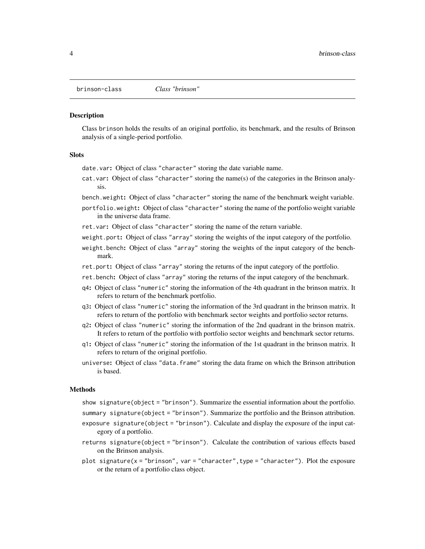<span id="page-3-0"></span>

#### Description

Class brinson holds the results of an original portfolio, its benchmark, and the results of Brinson analysis of a single-period portfolio.

#### **Slots**

date.var: Object of class "character" storing the date variable name.

cat.var: Object of class "character" storing the name(s) of the categories in the Brinson analysis.

bench.weight: Object of class "character" storing the name of the benchmark weight variable.

portfolio.weight: Object of class "character" storing the name of the portfolio weight variable in the universe data frame.

ret.var: Object of class "character" storing the name of the return variable.

- weight.port: Object of class "array" storing the weights of the input category of the portfolio.
- weight.bench: Object of class "array" storing the weights of the input category of the benchmark.
- ret.port: Object of class "array" storing the returns of the input category of the portfolio.
- ret.bench: Object of class "array" storing the returns of the input category of the benchmark.
- q4: Object of class "numeric" storing the information of the 4th quadrant in the brinson matrix. It refers to return of the benchmark portfolio.
- q3: Object of class "numeric" storing the information of the 3rd quadrant in the brinson matrix. It refers to return of the portfolio with benchmark sector weights and portfolio sector returns.
- q2: Object of class "numeric" storing the information of the 2nd quadrant in the brinson matrix. It refers to return of the portfolio with portfolio sector weights and benchmark sector returns.
- q1: Object of class "numeric" storing the information of the 1st quadrant in the brinson matrix. It refers to return of the original portfolio.
- universe: Object of class "data.frame" storing the data frame on which the Brinson attribution is based.

#### Methods

- show signature(object = "brinson"). Summarize the essential information about the portfolio.
- summary signature(object = "brinson"). Summarize the portfolio and the Brinson attribution.
- exposure signature(object = "brinson"). Calculate and display the exposure of the input category of a portfolio.
- returns signature(object = "brinson"). Calculate the contribution of various effects based on the Brinson analysis.
- plot signature(x = "brinson", var = "character",type = "character"). Plot the exposure or the return of a portfolio class object.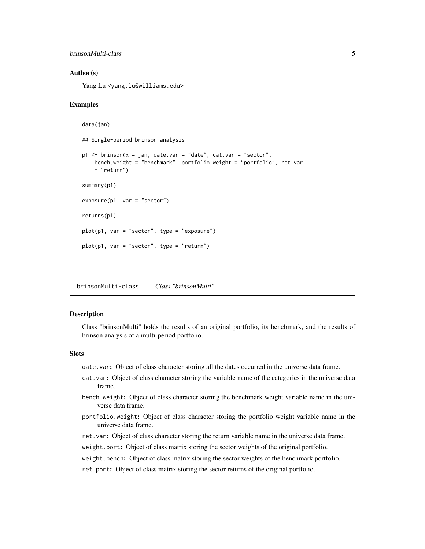```
brinsonMulti-class 5
```
#### Author(s)

Yang Lu <yang.lu@williams.edu>

#### Examples

```
data(jan)
## Single-period brinson analysis
p1 <- brinson(x = jan, date.var = "date", cat.var = "sector",
   bench.weight = "benchmark", portfolio.weight = "portfolio", ret.var
   = "return")
summary(p1)
exposure(p1, var = "sector")
returns(p1)
plot(p1, var = "sector", type = "exposure")plot(p1, var = "sector", type = "return")
```
brinsonMulti-class *Class "brinsonMulti"*

## Description

Class "brinsonMulti" holds the results of an original portfolio, its benchmark, and the results of brinson analysis of a multi-period portfolio.

# **Slots**

date.var: Object of class character storing all the dates occurred in the universe data frame.

- cat.var: Object of class character storing the variable name of the categories in the universe data frame.
- bench.weight: Object of class character storing the benchmark weight variable name in the universe data frame.
- portfolio.weight: Object of class character storing the portfolio weight variable name in the universe data frame.
- ret.var: Object of class character storing the return variable name in the universe data frame.
- weight.port: Object of class matrix storing the sector weights of the original portfolio.
- weight.bench: Object of class matrix storing the sector weights of the benchmark portfolio.
- ret.port: Object of class matrix storing the sector returns of the original portfolio.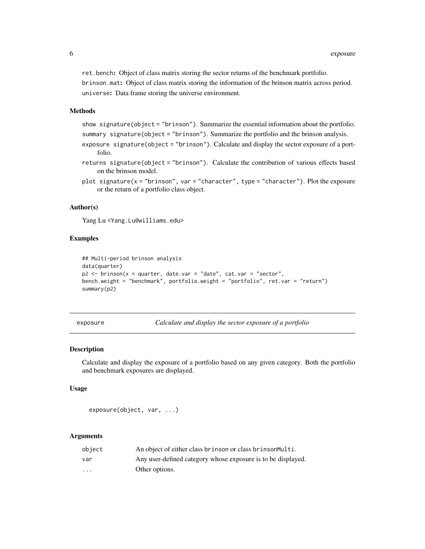<span id="page-5-0"></span>ret.bench: Object of class matrix storing the sector returns of the benchmark portfolio. brinson.mat: Object of class matrix storing the information of the brinson matrix across period. universe: Data frame storing the universe environment.

# Methods

show signature(object = "brinson"). Summarize the essential information about the portfolio. summary signature(object = "brinson"). Summarize the portfolio and the brinson analysis.

- exposure signature(object = "brinson"). Calculate and display the sector exposure of a portfolio.
- returns signature(object = "brinson"). Calculate the contribution of various effects based on the brinson model.
- plot signature( $x = "brinson", var = "character", type = "character").$  Plot the exposure or the return of a portfolio class object.

# Author(s)

Yang Lu <Yang.Lu@williams.edu>

# Examples

```
## Multi-period brinson analysis
data(quarter)
p2 \le - brinson(x = quarter, date.var = "date", cat.var = "sector",
bench.weight = "benchmark", portfolio.weight = "portfolio", ret.var = "return")
summary(p2)
```
exposure *Calculate and display the sector exposure of a portfolio*

#### Description

Calculate and display the exposure of a portfolio based on any given category. Both the portfolio and benchmark exposures are displayed.

#### Usage

exposure(object, var, ...)

#### Arguments

| object   | An object of either class brinson or class brinson Multi.    |
|----------|--------------------------------------------------------------|
| var      | Any user-defined category whose exposure is to be displayed. |
| $\cdots$ | Other options.                                               |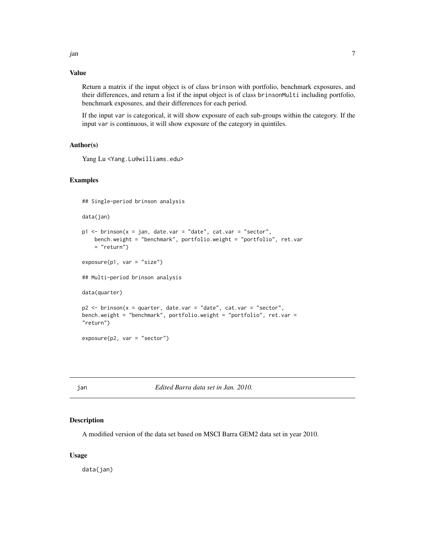<span id="page-6-0"></span>jan 1988 - 1988 - 1988 - 1988 - 1988 - 1988 - 1988 - 1988 - 1988 - 1988 - 1988 - 1988 - 1988 - 1988 - 1988 - 1

# Value

Return a matrix if the input object is of class brinson with portfolio, benchmark exposures, and their differences, and return a list if the input object is of class brinsonMulti including portfolio, benchmark exposures, and their differences for each period.

If the input var is categorical, it will show exposure of each sub-groups within the category. If the input var is continuous, it will show exposure of the category in quintiles.

# Author(s)

Yang Lu <Yang.Lu@williams.edu>

# Examples

## Single-period brinson analysis

data(jan)

```
p1 <- brinson(x = jan, date.var = "date", cat.var = "sector",
   bench.weight = "benchmark", portfolio.weight = "portfolio", ret.var
    = "return")
```
exposure(p1, var = "size")

## Multi-period brinson analysis

data(quarter)

```
p2 <- brinson(x = quarter, date.var = "date", cat.var = "sector",
bench.weight = "benchmark", portfolio.weight = "portfolio", ret.var =
"return")
```
exposure(p2, var = "sector")

jan *Edited Barra data set in Jan. 2010.*

#### Description

A modified version of the data set based on MSCI Barra GEM2 data set in year 2010.

# Usage

data(jan)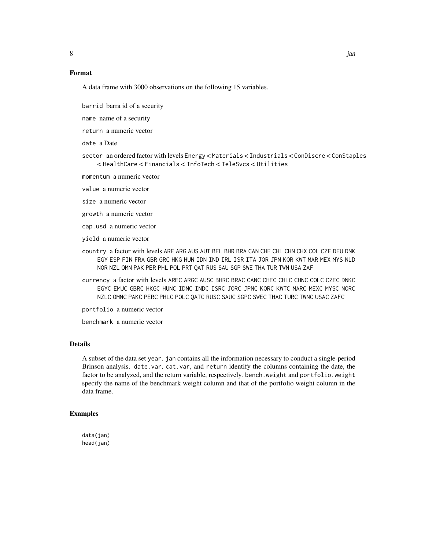# Format

A data frame with 3000 observations on the following 15 variables.

barrid barra id of a security

name name of a security

return a numeric vector

date a Date

sector an ordered factor with levels Energy < Materials < Industrials < ConDiscre < ConStaples < HealthCare < Financials < InfoTech < TeleSvcs < Utilities

momentum a numeric vector

value a numeric vector

size a numeric vector

growth a numeric vector

cap.usd a numeric vector

yield a numeric vector

- country a factor with levels ARE ARG AUS AUT BEL BHR BRA CAN CHE CHL CHN CHX COL CZE DEU DNK EGY ESP FIN FRA GBR GRC HKG HUN IDN IND IRL ISR ITA JOR JPN KOR KWT MAR MEX MYS NLD NOR NZL OMN PAK PER PHL POL PRT QAT RUS SAU SGP SWE THA TUR TWN USA ZAF
- currency a factor with levels AREC ARGC AUSC BHRC BRAC CANC CHEC CHLC CHNC COLC CZEC DNKC EGYC EMUC GBRC HKGC HUNC IDNC INDC ISRC JORC JPNC KORC KWTC MARC MEXC MYSC NORC NZLC OMNC PAKC PERC PHLC POLC QATC RUSC SAUC SGPC SWEC THAC TURC TWNC USAC ZAFC

portfolio a numeric vector

benchmark a numeric vector

#### Details

A subset of the data set year. jan contains all the information necessary to conduct a single-period Brinson analysis. date.var, cat.var, and return identify the columns containing the date, the factor to be analyzed, and the return variable, respectively. bench.weight and portfolio.weight specify the name of the benchmark weight column and that of the portfolio weight column in the data frame.

#### Examples

data(jan) head(jan)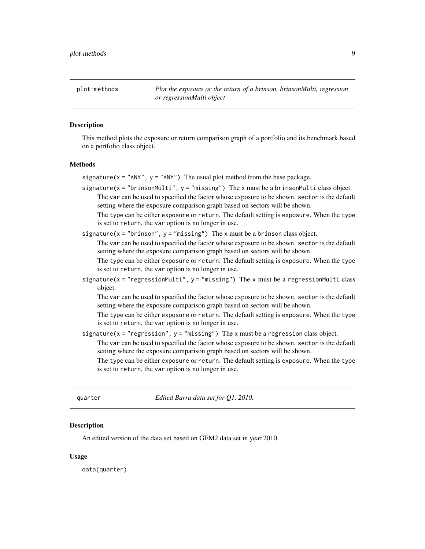<span id="page-8-0"></span>plot-methods *Plot the exposure or the return of a brinson, brinsonMulti, regression or regressionMulti object*

# Description

This method plots the exposure or return comparison graph of a portfolio and its benchmark based on a portfolio class object.

#### Methods

signature( $x = "ANY"$ ,  $y = "ANY"$ ) The usual plot method from the base package.

signature( $x =$ "brinsonMulti",  $y =$ "missing") The  $x$  must be a brinsonMulti class object. The var can be used to specified the factor whose exposure to be shown. sector is the default setting where the exposure comparison graph based on sectors will be shown.

The type can be either exposure or return. The default setting is exposure. When the type is set to return, the var option is no longer in use.

signature( $x =$ "brinson",  $y =$ "missing") The x must be a brinson class object.

The var can be used to specified the factor whose exposure to be shown. sector is the default setting where the exposure comparison graph based on sectors will be shown.

The type can be either exposure or return. The default setting is exposure. When the type is set to return, the var option is no longer in use.

signature( $x = "regressionMulti", y = "missing")$  The  $x$  must be a regression Multi class object.

The var can be used to specified the factor whose exposure to be shown. sector is the default setting where the exposure comparison graph based on sectors will be shown.

The type can be either exposure or return. The default setting is exposure. When the type is set to return, the var option is no longer in use.

signature( $x = "regression", y = "missing")$  The x must be a regression class object.

The var can be used to specified the factor whose exposure to be shown. sector is the default setting where the exposure comparison graph based on sectors will be shown.

The type can be either exposure or return. The default setting is exposure. When the type is set to return, the var option is no longer in use.

quarter *Edited Barra data set for Q1, 2010.*

#### Description

An edited version of the data set based on GEM2 data set in year 2010.

#### Usage

data(quarter)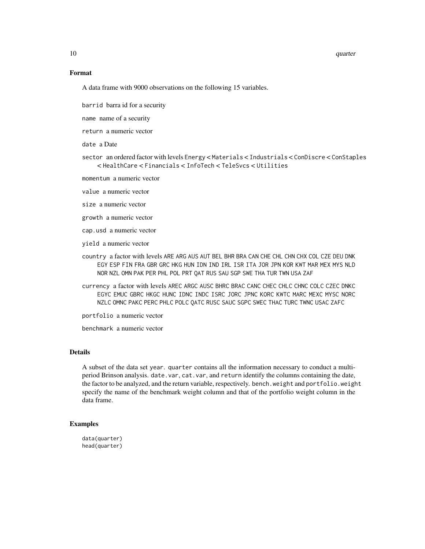#### 10 quarter and the contract of the contract of the contract of the contract of the contract of the contract of the contract of the contract of the contract of the contract of the contract of the contract of the contract of

# Format

A data frame with 9000 observations on the following 15 variables.

barrid barra id for a security

name name of a security

return a numeric vector

date a Date

sector an ordered factor with levels Energy < Materials < Industrials < ConDiscre < ConStaples < HealthCare < Financials < InfoTech < TeleSvcs < Utilities

momentum a numeric vector

value a numeric vector

size a numeric vector

growth a numeric vector

cap.usd a numeric vector

yield a numeric vector

- country a factor with levels ARE ARG AUS AUT BEL BHR BRA CAN CHE CHL CHN CHX COL CZE DEU DNK EGY ESP FIN FRA GBR GRC HKG HUN IDN IND IRL ISR ITA JOR JPN KOR KWT MAR MEX MYS NLD NOR NZL OMN PAK PER PHL POL PRT QAT RUS SAU SGP SWE THA TUR TWN USA ZAF
- currency a factor with levels AREC ARGC AUSC BHRC BRAC CANC CHEC CHLC CHNC COLC CZEC DNKC EGYC EMUC GBRC HKGC HUNC IDNC INDC ISRC JORC JPNC KORC KWTC MARC MEXC MYSC NORC NZLC OMNC PAKC PERC PHLC POLC QATC RUSC SAUC SGPC SWEC THAC TURC TWNC USAC ZAFC

portfolio a numeric vector

benchmark a numeric vector

# Details

A subset of the data set year. quarter contains all the information necessary to conduct a multiperiod Brinson analysis. date.var, cat.var, and return identify the columns containing the date, the factor to be analyzed, and the return variable, respectively. bench.weight and portfolio.weight specify the name of the benchmark weight column and that of the portfolio weight column in the data frame.

#### Examples

data(quarter) head(quarter)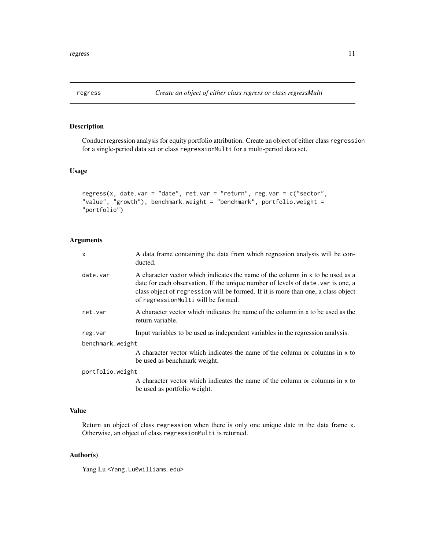<span id="page-10-0"></span>

# Description

Conduct regression analysis for equity portfolio attribution. Create an object of either class regression for a single-period data set or class regressionMulti for a multi-period data set.

# Usage

```
regress(x, date.var = "date", ret.var = "return", reg.var = c("sector",
"value", "growth"), benchmark.weight = "benchmark", portfolio.weight =
"portfolio")
```
# Arguments

| X                | A data frame containing the data from which regression analysis will be con-<br>ducted.                                                                                                                                                                                                      |
|------------------|----------------------------------------------------------------------------------------------------------------------------------------------------------------------------------------------------------------------------------------------------------------------------------------------|
| date.var         | A character vector which indicates the name of the column in x to be used as a<br>date for each observation. If the unique number of levels of date var is one, a<br>class object of regression will be formed. If it is more than one, a class object<br>of regressionMulti will be formed. |
| ret.var          | A character vector which indicates the name of the column in x to be used as the<br>return variable.                                                                                                                                                                                         |
| reg.var          | Input variables to be used as independent variables in the regression analysis.                                                                                                                                                                                                              |
| benchmark.weight |                                                                                                                                                                                                                                                                                              |
|                  | A character vector which indicates the name of the column or columns in x to<br>be used as benchmark weight.                                                                                                                                                                                 |
| portfolio.weight |                                                                                                                                                                                                                                                                                              |
|                  | A character vector which indicates the name of the column or columns in x to<br>be used as portfolio weight.                                                                                                                                                                                 |

# Value

Return an object of class regression when there is only one unique date in the data frame x. Otherwise, an object of class regressionMulti is returned.

#### Author(s)

Yang Lu <Yang.Lu@williams.edu>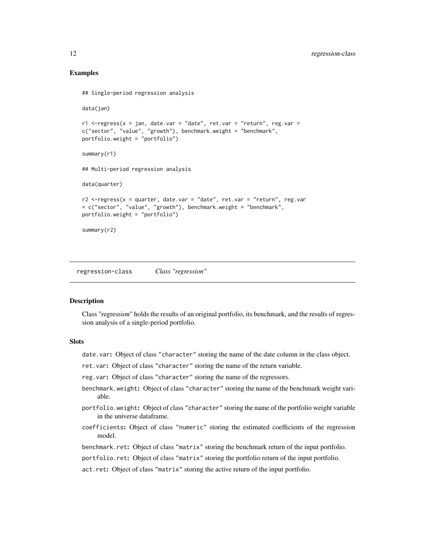# Examples

```
## Single-period regression analysis
data(jan)
r1 <-regress(x = jan, date.var = "date", ret.var = "return", reg.var =
c("sector", "value", "growth"), benchmark.weight = "benchmark",
portfolio.weight = "portfolio")
summary(r1)
## Multi-period regression analysis
data(quarter)
r2 <-regress(x = quarter, date.var = "date", ret.var = "return", reg.var
= c("sector", "value", "growth"), benchmark.weight = "benchmark",
portfolio.weight = "portfolio")
summary(r2)
```
regression-class *Class "regression"*

#### Description

Class "regression" holds the results of an original portfolio, its benchmark, and the results of regression analysis of a single-period portfolio.

# **Slots**

- date.var: Object of class "character" storing the name of the date column in the class object.
- ret.var: Object of class "character" storing the name of the return variable.
- reg.var: Object of class "character" storing the name of the regressors.
- benchmark.weight: Object of class "character" storing the name of the benchmark weight variable.
- portfolio.weight: Object of class "character" storing the name of the portfolio weight variable in the universe dataframe.
- coefficients: Object of class "numeric" storing the estimated coefficients of the regression model.
- benchmark.ret: Object of class "matrix" storing the benchmark return of the input portfolio.
- portfolio.ret: Object of class "matrix" storing the portfolio return of the input portfolio.
- act.ret: Object of class "matrix" storing the active return of the input portfolio.

<span id="page-11-0"></span>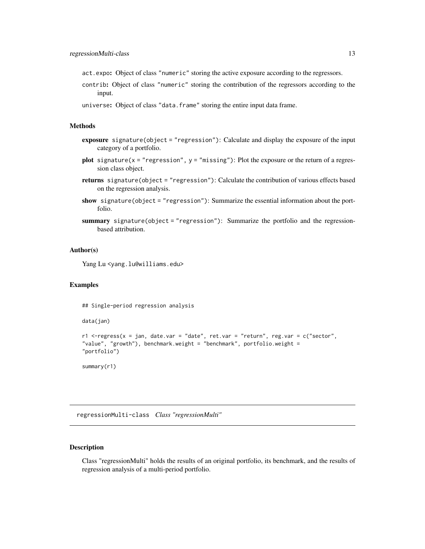- <span id="page-12-0"></span>act.expo: Object of class "numeric" storing the active exposure according to the regressors.
- contrib: Object of class "numeric" storing the contribution of the regressors according to the input.
- universe: Object of class "data.frame" storing the entire input data frame.

#### Methods

- exposure signature(object = "regression"): Calculate and display the exposure of the input category of a portfolio.
- plot signature( $x = "regression", y = "missing"$ ): Plot the exposure or the return of a regression class object.
- returns signature(object = "regression"): Calculate the contribution of various effects based on the regression analysis.
- show signature(object = "regression"): Summarize the essential information about the portfolio.
- summary signature(object = "regression"): Summarize the portfolio and the regressionbased attribution.

#### Author(s)

Yang Lu <yang.lu@williams.edu>

#### Examples

```
## Single-period regression analysis
```
data(jan)

```
r1 <-regress(x = jan, date.var = "date", ret.var = "return", reg.var = c("sector",
"value", "growth"), benchmark.weight = "benchmark", portfolio.weight =
"portfolio")
```
summary(r1)

regressionMulti-class *Class "regressionMulti"*

#### Description

Class "regressionMulti" holds the results of an original portfolio, its benchmark, and the results of regression analysis of a multi-period portfolio.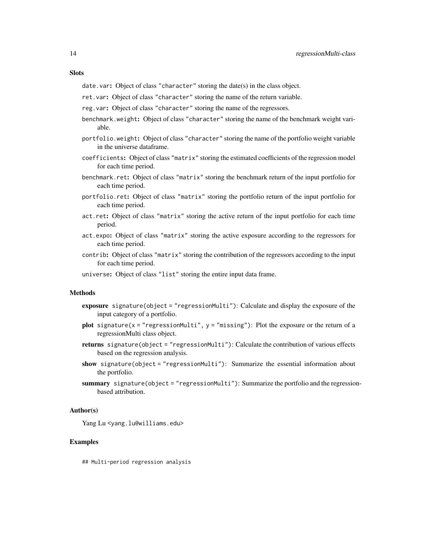#### **Slots**

date.var: Object of class "character" storing the date(s) in the class object.

- ret.var: Object of class "character" storing the name of the return variable.
- reg.var: Object of class "character" storing the name of the regressors.
- benchmark.weight: Object of class "character" storing the name of the benchmark weight variable.
- portfolio.weight: Object of class "character" storing the name of the portfolio weight variable in the universe dataframe.
- coefficients: Object of class "matrix" storing the estimated coefficients of the regression model for each time period.
- benchmark.ret: Object of class "matrix" storing the benchmark return of the input portfolio for each time period.
- portfolio.ret: Object of class "matrix" storing the portfolio return of the input portfolio for each time period.
- act.ret: Object of class "matrix" storing the active return of the input portfolio for each time period.
- act.expo: Object of class "matrix" storing the active exposure according to the regressors for each time period.
- contrib: Object of class "matrix" storing the contribution of the regressors according to the input for each time period.
- universe: Object of class "list" storing the entire input data frame.

# Methods

- exposure signature(object = "regressionMulti"): Calculate and display the exposure of the input category of a portfolio.
- plot signature( $x = "regressionMulti", y = "missing":$  Plot the exposure or the return of a regressionMulti class object.
- returns signature(object = "regressionMulti"): Calculate the contribution of various effects based on the regression analysis.
- show signature(object = "regressionMulti"): Summarize the essential information about the portfolio.
- summary signature(object = "regressionMulti"): Summarize the portfolio and the regressionbased attribution.

# Author(s)

Yang Lu <yang.lu@williams.edu>

# Examples

## Multi-period regression analysis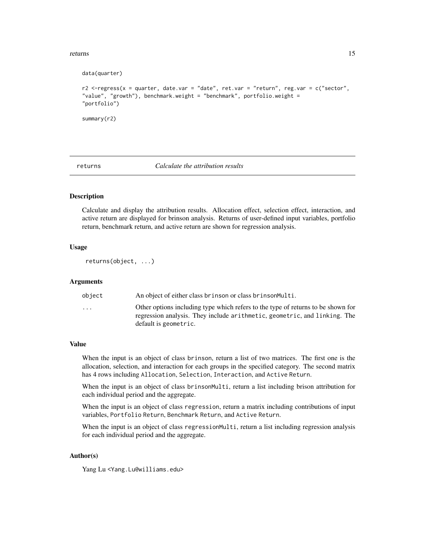#### <span id="page-14-0"></span>returns and the contract of the contract of the contract of the contract of the contract of the contract of the contract of the contract of the contract of the contract of the contract of the contract of the contract of th

```
data(quarter)
r2 <-regress(x = quarter, date.var = "date", ret.var = "return", reg.var = c("sector",
"value", "growth"), benchmark.weight = "benchmark", portfolio.weight =
"portfolio")
summary(r2)
```
#### returns *Calculate the attribution results*

#### Description

Calculate and display the attribution results. Allocation effect, selection effect, interaction, and active return are displayed for brinson analysis. Returns of user-defined input variables, portfolio return, benchmark return, and active return are shown for regression analysis.

# Usage

returns(object, ...)

#### Arguments

| object                  | An object of either class brinson or class brinson Multi.                                                                                                                              |
|-------------------------|----------------------------------------------------------------------------------------------------------------------------------------------------------------------------------------|
| $\cdot$ $\cdot$ $\cdot$ | Other options including type which refers to the type of returns to be shown for<br>regression analysis. They include arithmetic, geometric, and linking. The<br>default is geometric. |
|                         |                                                                                                                                                                                        |

# Value

When the input is an object of class brinson, return a list of two matrices. The first one is the allocation, selection, and interaction for each groups in the specified category. The second matrix has 4 rows including Allocation, Selection, Interaction, and Active Return.

When the input is an object of class brinsonMulti, return a list including brison attribution for each individual period and the aggregate.

When the input is an object of class regression, return a matrix including contributions of input variables, Portfolio Return, Benchmark Return, and Active Return.

When the input is an object of class regressionMulti, return a list including regression analysis for each individual period and the aggregate.

# Author(s)

Yang Lu <Yang.Lu@williams.edu>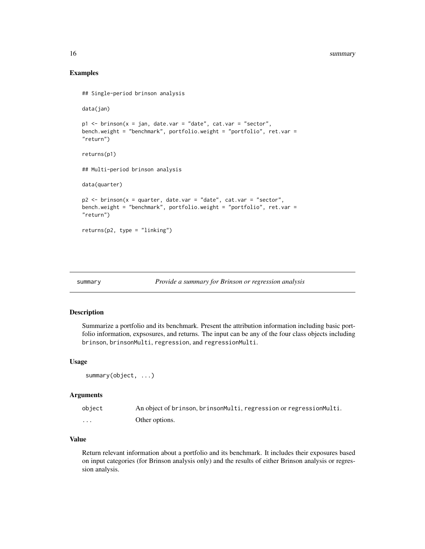# Examples

```
## Single-period brinson analysis
data(jan)
p1 \le - brinson(x = jan, date.var = "date", cat.var = "sector",
bench.weight = "benchmark", portfolio.weight = "portfolio", ret.var =
"return")
returns(p1)
## Multi-period brinson analysis
data(quarter)
p2 \le - brinson(x = quarter, date.var = "date", cat.var = "sector",
bench.weight = "benchmark", portfolio.weight = "portfolio", ret.var =
"return")
returns(p2, type = "linking")
```
#### summary *Provide a summary for Brinson or regression analysis*

# Description

Summarize a portfolio and its benchmark. Present the attribution information including basic portfolio information, expsosures, and returns. The input can be any of the four class objects including brinson, brinsonMulti, regression, and regressionMulti.

#### Usage

```
summary(object, ...)
```
#### Arguments

| object | An object of brinson, brinsonMulti, regression or regressionMulti. |
|--------|--------------------------------------------------------------------|
| .      | Other options.                                                     |

# Value

Return relevant information about a portfolio and its benchmark. It includes their exposures based on input categories (for Brinson analysis only) and the results of either Brinson analysis or regression analysis.

<span id="page-15-0"></span>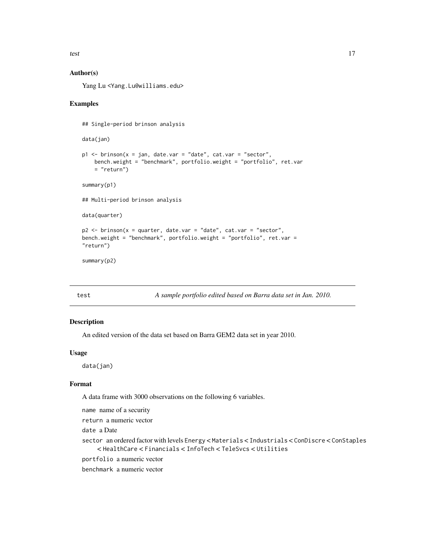<span id="page-16-0"></span>test test and the contract of the contract of the contract of the contract of the contract of the contract of the contract of the contract of the contract of the contract of the contract of the contract of the contract of

# Author(s)

Yang Lu <Yang.Lu@williams.edu>

# Examples

```
## Single-period brinson analysis
data(jan)
p1 <- brinson(x = jan, date.var = "date", cat.var = "sector",
   bench.weight = "benchmark", portfolio.weight = "portfolio", ret.var
   = "return")
summary(p1)
## Multi-period brinson analysis
data(quarter)
p2 <- brinson(x = quarter, date.var = "date", cat.var = "sector",
bench.weight = "benchmark", portfolio.weight = "portfolio", ret.var =
"return")
summary(p2)
```
test *A sample portfolio edited based on Barra data set in Jan. 2010.*

# Description

An edited version of the data set based on Barra GEM2 data set in year 2010.

# Usage

data(jan)

#### Format

A data frame with 3000 observations on the following 6 variables.

name name of a security

return a numeric vector

date a Date

sector an ordered factor with levels Energy < Materials < Industrials < ConDiscre < ConStaples < HealthCare < Financials < InfoTech < TeleSvcs < Utilities

portfolio a numeric vector

benchmark a numeric vector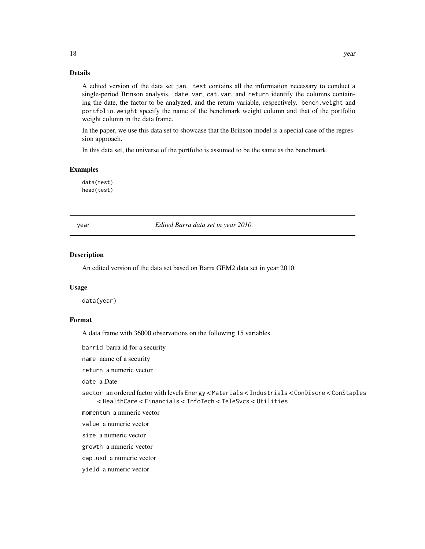# <span id="page-17-0"></span>Details

A edited version of the data set jan. test contains all the information necessary to conduct a single-period Brinson analysis. date.var, cat.var, and return identify the columns containing the date, the factor to be analyzed, and the return variable, respectively. bench.weight and portfolio.weight specify the name of the benchmark weight column and that of the portfolio weight column in the data frame.

In the paper, we use this data set to showcase that the Brinson model is a special case of the regression approach.

In this data set, the universe of the portfolio is assumed to be the same as the benchmark.

#### Examples

data(test) head(test)

year *Edited Barra data set in year 2010.*

# **Description**

An edited version of the data set based on Barra GEM2 data set in year 2010.

#### Usage

data(year)

#### Format

A data frame with 36000 observations on the following 15 variables.

barrid barra id for a security

name name of a security

return a numeric vector

date a Date

sector an ordered factor with levels Energy < Materials < Industrials < ConDiscre < ConStaples < HealthCare < Financials < InfoTech < TeleSvcs < Utilities

momentum a numeric vector

value a numeric vector

size a numeric vector

growth a numeric vector

cap.usd a numeric vector

yield a numeric vector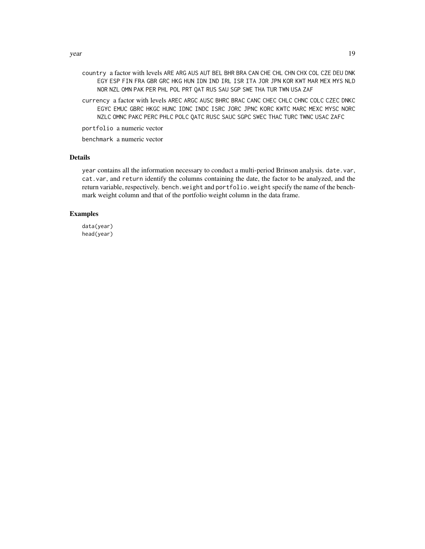- country a factor with levels ARE ARG AUS AUT BEL BHR BRA CAN CHE CHL CHN CHX COL CZE DEU DNK EGY ESP FIN FRA GBR GRC HKG HUN IDN IND IRL ISR ITA JOR JPN KOR KWT MAR MEX MYS NLD NOR NZL OMN PAK PER PHL POL PRT QAT RUS SAU SGP SWE THA TUR TWN USA ZAF
- currency a factor with levels AREC ARGC AUSC BHRC BRAC CANC CHEC CHLC CHNC COLC CZEC DNKC EGYC EMUC GBRC HKGC HUNC IDNC INDC ISRC JORC JPNC KORC KWTC MARC MEXC MYSC NORC NZLC OMNC PAKC PERC PHLC POLC QATC RUSC SAUC SGPC SWEC THAC TURC TWNC USAC ZAFC

portfolio a numeric vector

benchmark a numeric vector

#### Details

year contains all the information necessary to conduct a multi-period Brinson analysis. date.var, cat.var, and return identify the columns containing the date, the factor to be analyzed, and the return variable, respectively. bench.weight and portfolio.weight specify the name of the benchmark weight column and that of the portfolio weight column in the data frame.

# Examples

data(year) head(year)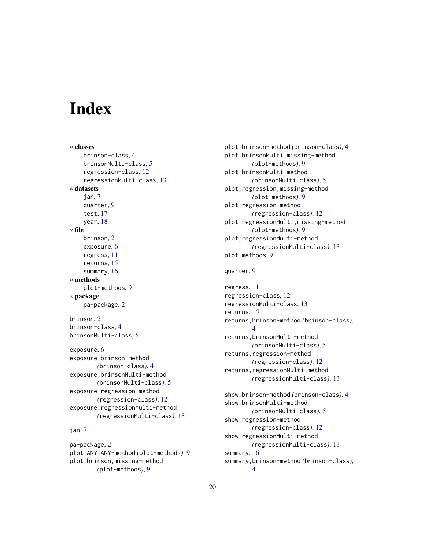# <span id="page-19-0"></span>**Index**

∗ classes brinson-class, [4](#page-3-0) brinsonMulti-class, [5](#page-4-0) regression-class, [12](#page-11-0) regressionMulti-class, [13](#page-12-0) ∗ datasets jan, [7](#page-6-0) quarter, [9](#page-8-0) test, [17](#page-16-0) year, [18](#page-17-0) ∗ file brinson, [2](#page-1-0) exposure, [6](#page-5-0) regress, [11](#page-10-0) returns, [15](#page-14-0) summary, [16](#page-15-0) ∗ methods plot-methods, [9](#page-8-0) ∗ package pa-package, [2](#page-1-0) brinson, [2](#page-1-0) brinson-class, [4](#page-3-0) brinsonMulti-class, [5](#page-4-0) exposure, [6](#page-5-0) exposure,brinson-method *(*brinson-class*)*, [4](#page-3-0) exposure,brinsonMulti-method *(*brinsonMulti-class*)*, [5](#page-4-0) exposure, regression-method *(*regression-class*)*, [12](#page-11-0) exposure, regressionMulti-method *(*regressionMulti-class*)*, [13](#page-12-0)

# jan, [7](#page-6-0)

pa-package, [2](#page-1-0) plot,ANY,ANY-method *(*plot-methods*)*, [9](#page-8-0) plot,brinson,missing-method *(*plot-methods*)*, [9](#page-8-0)

plot,brinson-method *(*brinson-class*)*, [4](#page-3-0) plot,brinsonMulti,missing-method *(*plot-methods*)*, [9](#page-8-0) plot,brinsonMulti-method *(*brinsonMulti-class*)*, [5](#page-4-0) plot,regression,missing-method *(*plot-methods*)*, [9](#page-8-0) plot,regression-method *(*regression-class*)*, [12](#page-11-0) plot,regressionMulti,missing-method *(*plot-methods*)*, [9](#page-8-0) plot,regressionMulti-method *(*regressionMulti-class*)*, [13](#page-12-0) plot-methods, [9](#page-8-0)

# quarter, [9](#page-8-0)

regress, [11](#page-10-0) regression-class, [12](#page-11-0) regressionMulti-class, [13](#page-12-0) returns, [15](#page-14-0) returns,brinson-method *(*brinson-class*)*, [4](#page-3-0) returns,brinsonMulti-method *(*brinsonMulti-class*)*, [5](#page-4-0) returns,regression-method *(*regression-class*)*, [12](#page-11-0) returns,regressionMulti-method *(*regressionMulti-class*)*, [13](#page-12-0) show,brinson-method *(*brinson-class*)*, [4](#page-3-0) show,brinsonMulti-method *(*brinsonMulti-class*)*, [5](#page-4-0) show,regression-method *(*regression-class*)*, [12](#page-11-0)

show,regressionMulti-method *(*regressionMulti-class*)*, [13](#page-12-0) summary, [16](#page-15-0) summary,brinson-method *(*brinson-class*)*, [4](#page-3-0)